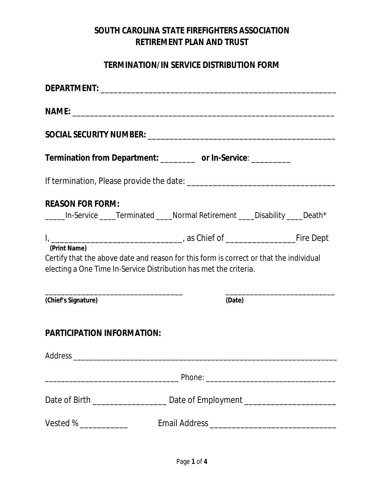### **SOUTH CAROLINA STATE FIREFIGHTERS ASSOCIATION RETIREMENT PLAN AND TRUST**

### **TERMINATION/IN SERVICE DISTRIBUTION FORM**

| Termination from Department: __________ or In-Service: _________                                                                                                            |        |  |  |  |
|-----------------------------------------------------------------------------------------------------------------------------------------------------------------------------|--------|--|--|--|
|                                                                                                                                                                             |        |  |  |  |
| <b>REASON FOR FORM:</b><br>_____In-Service ____Terminated ____Normal Retirement ____Disability ____Death*                                                                   |        |  |  |  |
|                                                                                                                                                                             |        |  |  |  |
| (Print Name)<br>Certify that the above date and reason for this form is correct or that the individual<br>electing a One Time In-Service Distribution has met the criteria. |        |  |  |  |
| (Chief's Signature)                                                                                                                                                         | (Date) |  |  |  |
| <b>PARTICIPATION INFORMATION:</b>                                                                                                                                           |        |  |  |  |
|                                                                                                                                                                             |        |  |  |  |
|                                                                                                                                                                             |        |  |  |  |
| Date of Birth __________________________________Date of Employment _________________________________                                                                        |        |  |  |  |
| Vested % _____________                                                                                                                                                      |        |  |  |  |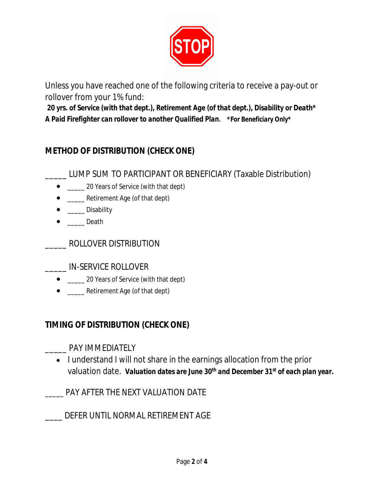

Unless you have reached one of the following criteria to receive a pay-out or rollover from your 1% fund:

*20 yrs. of Service (with that dept.), Retirement Age (of that dept.), Disability or Death\* A Paid Firefighter can rollover to another Qualified Plan*. *\*For Beneficiary Only\**

# **METHOD OF DISTRIBUTION (CHECK ONE)**

\_\_\_\_\_ LUMP SUM TO PARTICIPANT OR BENEFICIARY (Taxable Distribution)

- \_\_\_\_\_ 20 Years of Service (with that dept)
- \_\_\_\_\_ Retirement Age (of that dept)
- $\bullet$  \_\_\_\_\_\_ Disability
- $\bullet$  \_\_\_\_\_\_\_ Death
- \_\_\_\_\_ ROLLOVER DISTRIBUTION
- \_\_\_\_\_ IN-SERVICE ROLLOVER
	- \_\_\_\_\_ 20 Years of Service (with that dept)
	- \_\_\_\_\_ Retirement Age (of that dept)

## **TIMING OF DISTRIBUTION (CHECK ONE)**

- \_\_\_\_\_ PAY IMMEDIATELY
	- I understand I will not share in the earnings allocation from the prior valuation date. *Valuation dates are June 30th and December 31st of each plan year.*
- \_\_\_\_\_ PAY AFTER THE NEXT VALUATION DATE
- \_\_\_\_ DEFER UNTIL NORMAL RETIREMENT AGE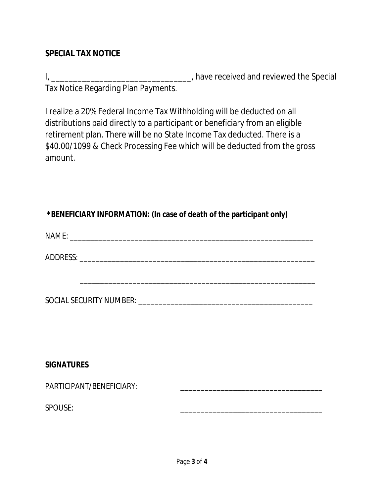#### **SPECIAL TAX NOTICE**

I, \_\_\_\_\_\_\_\_\_\_\_\_\_\_\_\_\_\_\_\_\_\_\_\_\_\_\_\_\_\_\_\_\_\_\_, have received and reviewed the Special Tax Notice Regarding Plan Payments.

I realize a 20% Federal Income Tax Withholding will be deducted on all distributions paid directly to a participant or beneficiary from an eligible retirement plan. There will be no State Income Tax deducted. There is a \$40.00/1099 & Check Processing Fee which will be deducted from the gross amount.

### **\*BENEFICIARY INFORMATION: (In case of death of the participant only)**

 $NAME:$ 

ADDRESS:

| SOCIAL SECURITY NUMBER: |  |
|-------------------------|--|

#### **SIGNATURES**

PARTICIPANT/BENEFICIARY: \_\_\_\_\_\_\_\_\_\_\_\_\_\_\_\_\_\_\_\_\_\_\_\_\_\_\_\_\_\_\_\_\_\_\_

SPOUSE: \_\_\_\_\_\_\_\_\_\_\_\_\_\_\_\_\_\_\_\_\_\_\_\_\_\_\_\_\_\_\_\_\_\_\_